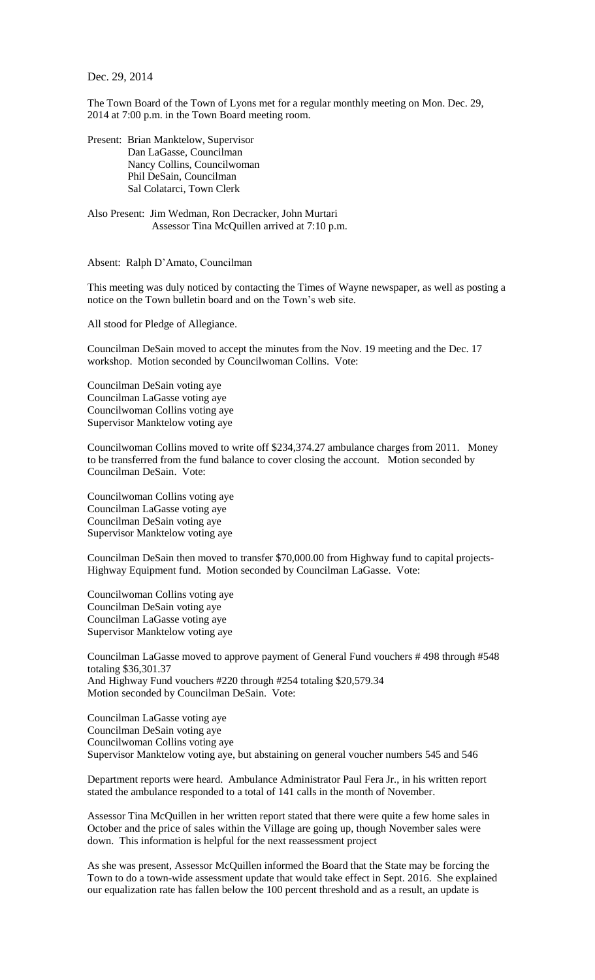Dec. 29, 2014

The Town Board of the Town of Lyons met for a regular monthly meeting on Mon. Dec. 29, 2014 at 7:00 p.m. in the Town Board meeting room.

Present: Brian Manktelow, Supervisor Dan LaGasse, Councilman Nancy Collins, Councilwoman Phil DeSain, Councilman Sal Colatarci, Town Clerk

Also Present: Jim Wedman, Ron Decracker, John Murtari Assessor Tina McQuillen arrived at 7:10 p.m.

Absent: Ralph D'Amato, Councilman

This meeting was duly noticed by contacting the Times of Wayne newspaper, as well as posting a notice on the Town bulletin board and on the Town's web site.

All stood for Pledge of Allegiance.

Councilman DeSain moved to accept the minutes from the Nov. 19 meeting and the Dec. 17 workshop. Motion seconded by Councilwoman Collins. Vote:

Councilman DeSain voting aye Councilman LaGasse voting aye Councilwoman Collins voting aye Supervisor Manktelow voting aye

Councilwoman Collins moved to write off \$234,374.27 ambulance charges from 2011. Money to be transferred from the fund balance to cover closing the account. Motion seconded by Councilman DeSain. Vote:

Councilwoman Collins voting aye Councilman LaGasse voting aye Councilman DeSain voting aye Supervisor Manktelow voting aye

Councilman DeSain then moved to transfer \$70,000.00 from Highway fund to capital projects-Highway Equipment fund. Motion seconded by Councilman LaGasse. Vote:

Councilwoman Collins voting aye Councilman DeSain voting aye Councilman LaGasse voting aye Supervisor Manktelow voting aye

Councilman LaGasse moved to approve payment of General Fund vouchers # 498 through #548 totaling \$36,301.37 And Highway Fund vouchers #220 through #254 totaling \$20,579.34 Motion seconded by Councilman DeSain. Vote:

Councilman LaGasse voting aye Councilman DeSain voting aye Councilwoman Collins voting aye Supervisor Manktelow voting aye, but abstaining on general voucher numbers 545 and 546

Department reports were heard. Ambulance Administrator Paul Fera Jr., in his written report stated the ambulance responded to a total of 141 calls in the month of November.

Assessor Tina McQuillen in her written report stated that there were quite a few home sales in October and the price of sales within the Village are going up, though November sales were down. This information is helpful for the next reassessment project

As she was present, Assessor McQuillen informed the Board that the State may be forcing the Town to do a town-wide assessment update that would take effect in Sept. 2016. She explained our equalization rate has fallen below the 100 percent threshold and as a result, an update is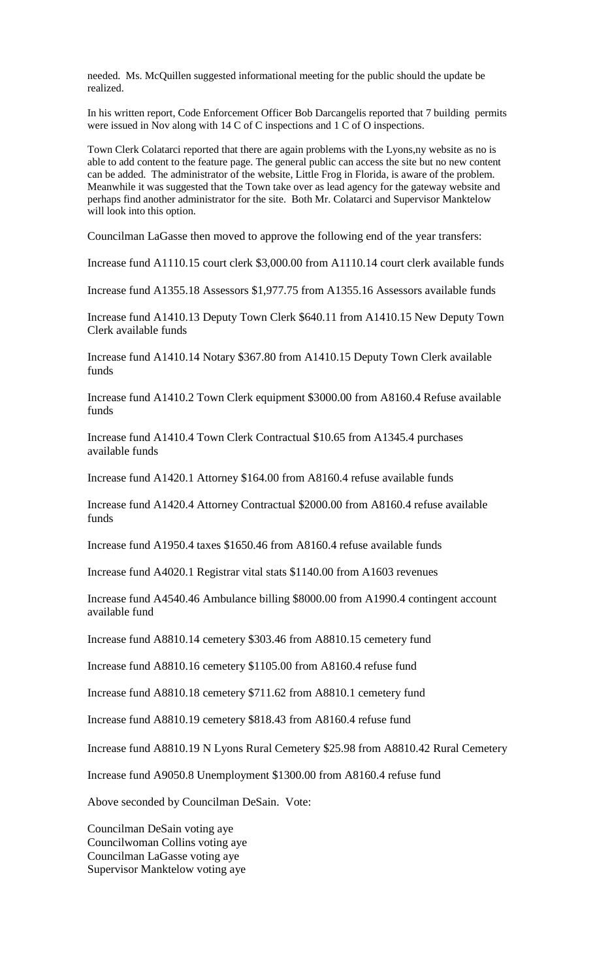needed. Ms. McQuillen suggested informational meeting for the public should the update be realized.

In his written report, Code Enforcement Officer Bob Darcangelis reported that 7 building permits were issued in Nov along with 14 C of C inspections and 1 C of O inspections.

Town Clerk Colatarci reported that there are again problems with the Lyons,ny website as no is able to add content to the feature page. The general public can access the site but no new content can be added. The administrator of the website, Little Frog in Florida, is aware of the problem. Meanwhile it was suggested that the Town take over as lead agency for the gateway website and perhaps find another administrator for the site. Both Mr. Colatarci and Supervisor Manktelow will look into this option.

Councilman LaGasse then moved to approve the following end of the year transfers:

Increase fund A1110.15 court clerk \$3,000.00 from A1110.14 court clerk available funds

Increase fund A1355.18 Assessors \$1,977.75 from A1355.16 Assessors available funds

Increase fund A1410.13 Deputy Town Clerk \$640.11 from A1410.15 New Deputy Town Clerk available funds

Increase fund A1410.14 Notary \$367.80 from A1410.15 Deputy Town Clerk available funds

Increase fund A1410.2 Town Clerk equipment \$3000.00 from A8160.4 Refuse available funds

Increase fund A1410.4 Town Clerk Contractual \$10.65 from A1345.4 purchases available funds

Increase fund A1420.1 Attorney \$164.00 from A8160.4 refuse available funds

Increase fund A1420.4 Attorney Contractual \$2000.00 from A8160.4 refuse available funds

Increase fund A1950.4 taxes \$1650.46 from A8160.4 refuse available funds

Increase fund A4020.1 Registrar vital stats \$1140.00 from A1603 revenues

Increase fund A4540.46 Ambulance billing \$8000.00 from A1990.4 contingent account available fund

Increase fund A8810.14 cemetery \$303.46 from A8810.15 cemetery fund

Increase fund A8810.16 cemetery \$1105.00 from A8160.4 refuse fund

Increase fund A8810.18 cemetery \$711.62 from A8810.1 cemetery fund

Increase fund A8810.19 cemetery \$818.43 from A8160.4 refuse fund

Increase fund A8810.19 N Lyons Rural Cemetery \$25.98 from A8810.42 Rural Cemetery

Increase fund A9050.8 Unemployment \$1300.00 from A8160.4 refuse fund

Above seconded by Councilman DeSain. Vote:

Councilman DeSain voting aye Councilwoman Collins voting aye Councilman LaGasse voting aye Supervisor Manktelow voting aye